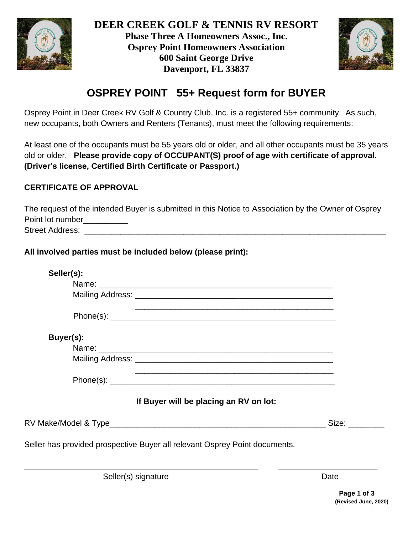



# **OSPREY POINT 55+ Request form for BUYER**

Osprey Point in Deer Creek RV Golf & Country Club, Inc. is a registered 55+ community. As such, new occupants, both Owners and Renters (Tenants), must meet the following requirements:

At least one of the occupants must be 55 years old or older, and all other occupants must be 35 years old or older. **Please provide copy of OCCUPANT(S) proof of age with certificate of approval. (Driver's license, Certified Birth Certificate or Passport.)**

### **CERTIFICATE OF APPROVAL**

| The request of the intended Buyer is submitted in this Notice to Association by the Owner of Osprey |
|-----------------------------------------------------------------------------------------------------|
| Point lot number                                                                                    |
| Street Address:                                                                                     |

#### **All involved parties must be included below (please print):**

| Seller(s):          |                                                                            |      |
|---------------------|----------------------------------------------------------------------------|------|
|                     |                                                                            |      |
|                     |                                                                            |      |
|                     |                                                                            |      |
| Buyer(s):           |                                                                            |      |
|                     |                                                                            |      |
|                     |                                                                            |      |
|                     |                                                                            |      |
|                     | If Buyer will be placing an RV on lot:                                     |      |
|                     | RV Make/Model & Type                             Size:                     |      |
|                     | Seller has provided prospective Buyer all relevant Osprey Point documents. |      |
| Seller(s) signature |                                                                            | Date |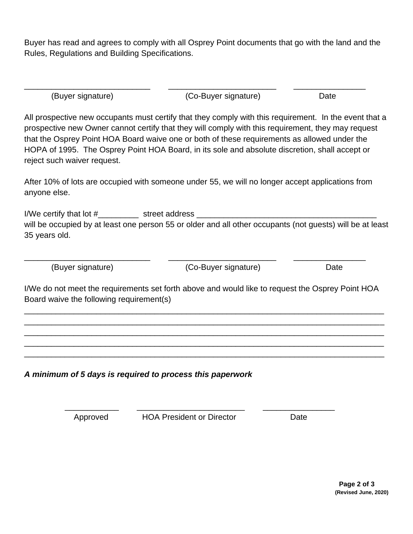Buyer has read and agrees to comply with all Osprey Point documents that go with the land and the Rules, Regulations and Building Specifications.

| (Buyer signature) | (Co-Buyer signature) | Date |
|-------------------|----------------------|------|

All prospective new occupants must certify that they comply with this requirement. In the event that a prospective new Owner cannot certify that they will comply with this requirement, they may request that the Osprey Point HOA Board waive one or both of these requirements as allowed under the HOPA of 1995. The Osprey Point HOA Board, in its sole and absolute discretion, shall accept or reject such waiver request.

After 10% of lots are occupied with someone under 55, we will no longer accept applications from anyone else.

I/We certify that lot  $\#$  street address will be occupied by at least one person 55 or older and all other occupants (not guests) will be at least 35 years old.

(Buyer signature) (Co-Buyer signature) Date

I/We do not meet the requirements set forth above and would like to request the Osprey Point HOA Board waive the following requirement(s)

\_\_\_\_\_\_\_\_\_\_\_\_\_\_\_\_\_\_\_\_\_\_\_\_\_\_\_\_\_\_\_\_\_\_\_\_\_\_\_\_\_\_\_\_\_\_\_\_\_\_\_\_\_\_\_\_\_\_\_\_\_\_\_\_\_\_\_\_\_\_\_\_\_\_\_\_\_\_\_\_ \_\_\_\_\_\_\_\_\_\_\_\_\_\_\_\_\_\_\_\_\_\_\_\_\_\_\_\_\_\_\_\_\_\_\_\_\_\_\_\_\_\_\_\_\_\_\_\_\_\_\_\_\_\_\_\_\_\_\_\_\_\_\_\_\_\_\_\_\_\_\_\_\_\_\_\_\_\_\_\_ \_\_\_\_\_\_\_\_\_\_\_\_\_\_\_\_\_\_\_\_\_\_\_\_\_\_\_\_\_\_\_\_\_\_\_\_\_\_\_\_\_\_\_\_\_\_\_\_\_\_\_\_\_\_\_\_\_\_\_\_\_\_\_\_\_\_\_\_\_\_\_\_\_\_\_\_\_\_\_\_ \_\_\_\_\_\_\_\_\_\_\_\_\_\_\_\_\_\_\_\_\_\_\_\_\_\_\_\_\_\_\_\_\_\_\_\_\_\_\_\_\_\_\_\_\_\_\_\_\_\_\_\_\_\_\_\_\_\_\_\_\_\_\_\_\_\_\_\_\_\_\_\_\_\_\_\_\_\_\_\_ \_\_\_\_\_\_\_\_\_\_\_\_\_\_\_\_\_\_\_\_\_\_\_\_\_\_\_\_\_\_\_\_\_\_\_\_\_\_\_\_\_\_\_\_\_\_\_\_\_\_\_\_\_\_\_\_\_\_\_\_\_\_\_\_\_\_\_\_\_\_\_\_\_\_\_\_\_\_\_\_

\_\_\_\_\_\_\_\_\_\_\_\_\_\_\_\_\_\_\_\_\_\_\_\_\_\_\_\_ \_\_\_\_\_\_\_\_\_\_\_\_\_\_\_\_\_\_\_\_\_\_\_\_ \_\_\_\_\_\_\_\_\_\_\_\_\_\_\_\_

*A minimum of 5 days is required to process this paperwork*

Approved HOA President or Director Date

 $\frac{1}{\sqrt{2}}$  ,  $\frac{1}{\sqrt{2}}$  ,  $\frac{1}{\sqrt{2}}$  ,  $\frac{1}{\sqrt{2}}$  ,  $\frac{1}{\sqrt{2}}$  ,  $\frac{1}{\sqrt{2}}$  ,  $\frac{1}{\sqrt{2}}$  ,  $\frac{1}{\sqrt{2}}$  ,  $\frac{1}{\sqrt{2}}$  ,  $\frac{1}{\sqrt{2}}$  ,  $\frac{1}{\sqrt{2}}$  ,  $\frac{1}{\sqrt{2}}$  ,  $\frac{1}{\sqrt{2}}$  ,  $\frac{1}{\sqrt{2}}$  ,  $\frac{1}{\sqrt{2}}$